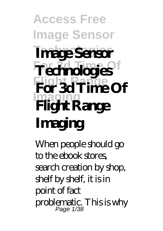**Access Free Image Sensor Technologies For 3d Time Of Technologies Flight Range For 3d Time Of Imaging Image Sensor Flight Range Imaging**

When people should go to the ebook stores, search creation by shop, shelf by shelf, it is in point of fact problematic. This is why Page 1/38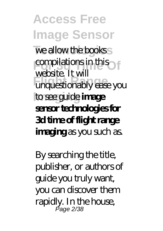**Access Free Image Sensor** we allow the books **For 3d Time Of Flight Range** unquestionably ease you **Imaging** to see guide **image** website. It will **sensor technologies for 3d time of flight range imaging** as you such as.

By searching the title, publisher, or authors of guide you truly want, you can discover them rapidly. In the house, Page 2/38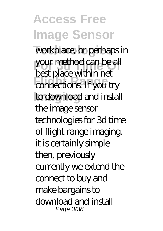**Access Free Image Sensor** workplace, or perhaps in your method can be all **FRIGHT RANGER** to download and install best place within net the image sensor technologies for 3d time of flight range imaging, it is certainly simple then, previously currently we extend the connect to buy and make bargains to download and install Page 3/38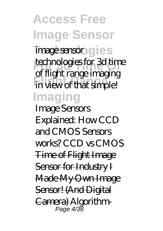**Access Free Image Sensor** image sensor gies *<u>rechnologies for 3d time</u>* **Flight Range** in view of that simple! **Imaging** of flight range imaging

*Image Sensors Explained: How CCD and CMOS Sensors works? CCD vs CMOS* Time of Flight Image Sensor for Industry I Made My Own Image Sensor! (And Digital Camera) *Algorithm-*Page 4/38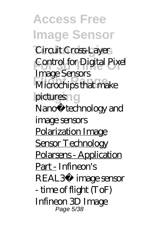**Access Free Image Sensor Technologies** *Circuit Cross-Layer* **For 3d Time Of** *Control for Digital Pixel* **Flight Range** *Microchips that make*  $p$ *ictures*: *Image Sensors Nano‐technology and image sensors* Polarization Image Sensor Technology Polarsens - Application Part - *Infineon's REAL3™ image sensor - time of flight (ToF) Infineon 3D Image* Page 5/38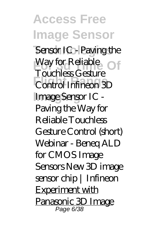**Access Free Image Sensor** Sensor IC - Paving the *Way for Reliable* **Flight Range** *Control* Infineon 3D Image Sensor IC -*Touchless Gesture* Paving the Way for Reliable Touchless Gesture Control (short) Webinar - Beneq ALD for CMOS Image Sensors *New 3D image sensor chip | Infineon* Experiment with Panasonic 3D Image Page 6/38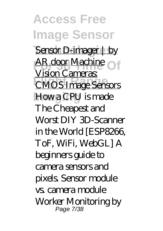**Access Free Image Sensor Sensor D-imager | by AR door Machine Flight Range** CMOS Image Sensors **Imaging** How a CPU is made Vision Cameras: *The Cheapest and Worst DIY 3D-Scanner in the World [ESP8266, ToF, WiFi, WebGL] A beginners guide to camera sensors and pixels. Sensor module vs. camera module Worker Monitoring by* Page 7/38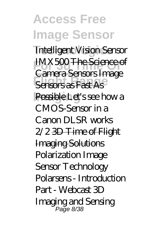**Access Free Image Sensor** *Intelligent Vision Sensor* **For 3d Time Of** *IMX500* The Science of **Sensors as Fast As** Possible Let's see how a Camera Sensors Image CMOS-Sensor in a Canon DLSR works 2/2 3D Time of Flight Imaging Solutions *Polarization Image Sensor Technology Polarsens - Introduction Part - Webcast 3D Imaging and Sensing* Page 8/38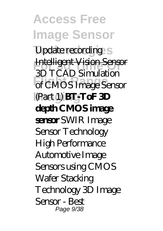**Access Free Image Sensor** *Update recording* **For 3d Time Of** Intelligent Vision Sensor **Flight Range** of CMOS Image Sensor **Imaging** (Part 1) **BT-ToF 3D** 3D TCAD Simulation **depth CMOS image sensor** SWIR Image Sensor Technology High Performance Automotive Image Sensors using CMOS Wafer Stacking Technology 3D Image Sensor - Best Page 9/38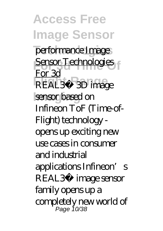**Access Free Image Sensor** performance Image **<u>For 3d</u>**<br>Equator Technologies **FLAL3™ 3D image Isensor** based on For 3d Infineon ToF (Time-of-Flight) technology opens up exciting new use cases in consumer and industrial applications Infineon's REAL3™ image sensor family opens up a completely new world of Page 10/38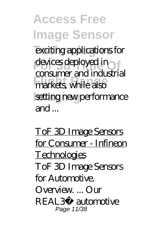**Access Free Image Sensor** exciting applications for devices deployed in **Flight Range** markets, while also setting new performance consumer and industrial and ...

ToF 3D Image Sensors for Consumer - Infineon Technologies ToF 3D Image Sensors for Automotive. Overview. ... Our REAL3™ automotive Page 11/38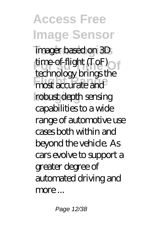**Access Free Image Sensor Technologies** imager based on 3D **For 3d Time-of-flight (ToF) Flight Range** most accurate and robust depth sensing technology brings the capabilities to a wide range of automotive use cases both within and beyond the vehicle. As cars evolve to support a greater degree of automated driving and more ...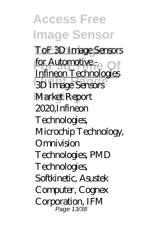**Access Free Image Sensor ToF 3D Image Sensors For Automotive - Of Flight Range** 3D Image Sensors **Imaging** Market Report Infineon Technologies 2020,Infineon **Technologies** Microchip Technology, Omnivision Technologies, PMD Technologies, Softkinetic, Asustek Computer, Cognex Corporation, IFM Page 13/38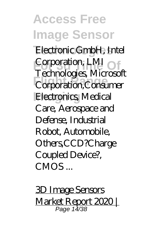**Access Free Image Sensor** Electronic GmbH, Intel **Corporation, LMI Fluing Ranger**, Macada **Electronics, Medical** Technologies, Microsoft Care, Aerospace and Defense, Industrial Robot, Automobile, Others,CCD?Charge Coupled Device?,  $CMOS$ 

3D Image Sensors Market Report 2020 | Page 14/38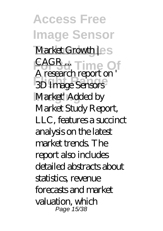**Access Free Image Sensor** Market Growth les **FAGR...** Time Of **Flight Range** 3D Image Sensors Market' Added by A research report on ' Market Study Report, LLC, features a succinct analysis on the latest market trends. The report also includes detailed abstracts about statistics, revenue forecasts and market valuation, which Page 15/38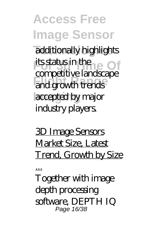**Access Free Image Sensor** additionally highlights **its status in the Of Flight Range** and growth trends accepted by major competitive landscape industry players.

3D Image Sensors Market Size, Latest Trend, Growth by Size

...

Together with image depth processing software, DEPTH IQ Page 16/38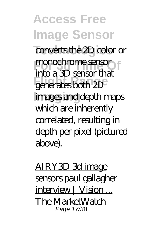**Access Free Image Sensor** converts the 2D color or **Frontier Sensor Flight Range** generates both 2D images and depth maps into a 3D sensor that which are inherently correlated, resulting in depth per pixel (pictured above).

AIRY3D 3d image sensors paul gallagher interview | Vision... The MarketWatch Page 17/38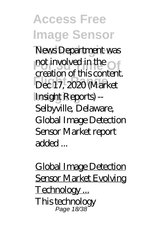**Access Free Image Sensor** News Department was **For 3d Time Of the Contract of the Contract of the Contract of the Contract of the Contract of the Contract of the Contract of the Contract of the Contract of the Contract of the Contract of the Contract of the Contract o Flight Range** Dec 17, 2020 (Market **Imaging** Insight Reports) - creation of this content. Selbyville, Delaware, Global Image Detection Sensor Market report added ...

Global Image Detection Sensor Market Evolving Technology ... This technology Page 18/38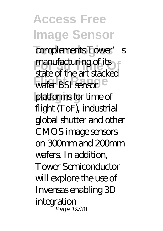**Access Free Image Sensor** complements Tower's **Franufacturing of its Flight Range** wafer BSI sensor platforms for time of state of the art stacked flight (ToF), industrial global shutter and other CMOS image sensors on 300 $m$ m and  $200$ mm wafers. In addition, Tower Semiconductor will explore the use of Invensas enabling 3D integration Page 19/38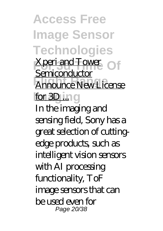**Access Free Image Sensor Technologies Xperi and Tower** Of **Flight Range** Announce New License for 3D ... ng **Semiconductor** In the imaging and sensing field, Sony has a great selection of cuttingedge products, such as intelligent vision sensors with AI processing functionality, ToF image sensors that can be used even for Page 20/38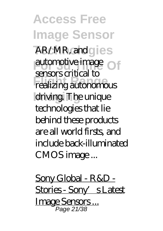**Access Free Image Sensor** AR/MR, and gies automotive image **Flight Range** realizing autonomous driving. The unique sensors critical to technologies that lie behind these products are all world firsts, and include back-illuminated CMOS image ...

Sony Global - R&D - Stories - Sony's Latest Image Sensors ... Page 21/38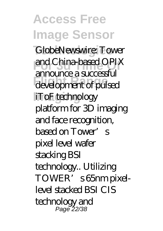**Access Free Image Sensor** GlobeNewswire: Tower **For 3d Time Of** and China-based OPIX **Flight Range** development of pulsed iToF technology announce a successful platform for 3D imaging and face recognition, based on Tower's pixel level wafer stacking BSI technology.. Utilizing TOWER's 65nm pixellevel stacked BSI CIS technology and Page 22/38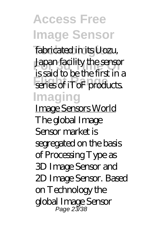**Access Free Image Sensor Technologies** fabricated in its Uozu, **Japan facility the sensor Figure & Series mix** in **Imaging** is said to be the first in a

Image Sensors World The global Image Sensor market is segregated on the basis of Processing Type as 3D Image Sensor and 2D Image Sensor. Based on Technology the global Image Sensor Page 23/38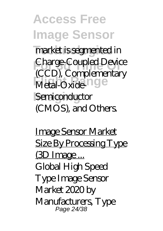**Access Free Image Sensor** market is segmented in **Charge-Coupled Device** Metal-Oxide<sup>nge</sup> Semiconductor (CCD), Complementary (CMOS), and Others.

Image Sensor Market Size By Processing Type (3D Image ... Global High Speed Type Image Sensor Market 2020 by Manufacturers, Type Page 24/38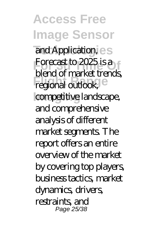**Access Free Image Sensor** and Application, es **Forecast to 2025 is a Francia** Continued Legional outlook, competitive landscape, blend of market trends, and comprehensive analysis of different market segments. The report offers an entire overview of the market by covering top players, business tactics, market dynamics, drivers, restraints, and Page 25/38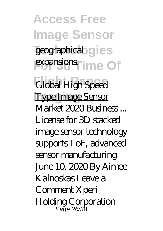**Access Free Image Sensor** geographical gies expansions<sup>time</sup> Of **Flight Range** Global High Speed **Imaging** Type Image Sensor Market 2020 Business... License for 3D stacked image sensor technology supports ToF, advanced sensor manufacturing June 10, 2020 By Aimee Kalnoskas Leave a Comment Xperi Holding Corporation Page 26/38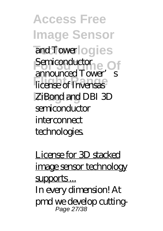**Access Free Image Sensor** and Towerlogies **Fericonductor Flight Range** license of Invensas **ZiBond and DBI 3D** announced Tower's semiconductor interconnect technologies.

License for 3D stacked image sensor technology supports ... In every dimension! At pmd we develop cutting-Page 27/38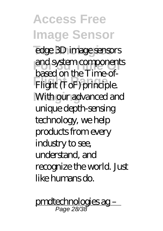**Access Free Image Sensor** edge 3D image sensors **For 3d Time Of** and system components Flight (ToF) principle. **With our advanced and** based on the Time-ofunique depth-sensing technology, we help products from every industry to see, understand, and recognize the world. Just like humans do.

pmdtechnologies ag – Page 28/38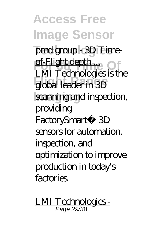**Access Free Image Sensor** pmd group - 3D Timeof-Flight depth... **Flight Range** global leader in 3D scanning and inspection, LMI Technologies is the providing FactorySmart® 3D sensors for automation, inspection, and optimization to improve production in today's factories.

LMI Technologies - Page 29/38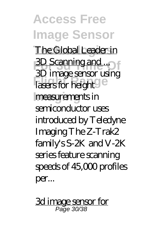**Access Free Image Sensor The Global Leader in For Scanning and ...** Lasers for height **Imaging** measurements in 3D image sensor using semiconductor uses introduced by Teledyne Imaging The Z-Trak2 family's S-2K and V-2K series feature scanning speeds of 45,000 profiles per...

3d image sensor for Page 30/38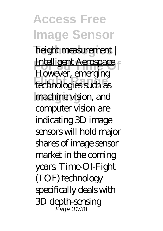**Access Free Image Sensor**  $height$  measurement | **Intelligent Aerospace Flight Range** technologies such as **Imaging** machine vision, and However, emerging computer vision are indicating 3D image sensors will hold major shares of image sensor market in the coming years. Time-Of-Fight (TOF) technology specifically deals with 3D depth-sensing Page 31/38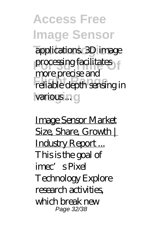**Access Free Image Sensor** applications. 3D image **processing facilitates Flight Range** reliable depth sensing in various .ng more precise and

Image Sensor Market Size, Share, Growth | Industry Report ... This is the goal of imec's Pixel Technology Explore research activities, which break new Page 32/38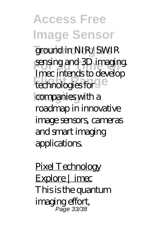**Access Free Image Sensor** ground in NIR/SWIR **For sensing and 3D imaging. Finder Andrew Branch** companies with a Imec intends to develop roadmap in innovative image sensors, cameras and smart imaging applications.

Pixel Technology Explore | imec This is the quantum imaging effort, Page 33/38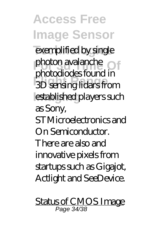**Access Free Image Sensor** exemplified by single **photon avalanche Flight Range** 3D sensing lidars from *<u>Instablished</u>* players such photodiodes found in as Sony, STMicroelectronics and On Semiconductor. There are also and innovative pixels from startups such as Gigajot, Actlight and SeeDevice.

Status of CMOS Image Page 34/38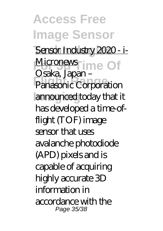**Access Free Image Sensor** Sensor Industry 2020 - i-Micronews ime Of **Flances**<br>**Panasonic Corporation Imaging** announced today that it Osaka, Japan – has developed a time-offlight (TOF) image sensor that uses avalanche photodiode (APD) pixels and is capable of acquiring highly accurate 3D information in accordance with the Page 35/38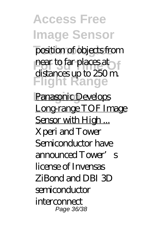**Access Free Image Sensor** position of objects from **For 3d Time of 3d Time of 3d Time of 3d Time of 3d Time of 3d Time of 3d Time of 3d Time of 3d Time of 3d Time Flight Range** Panasonic Develops distances up to 250 m. Long-range TOF Image Sensor with High... Xperi and Tower Semiconductor have announced Tower's license of Invensas ZiBond and DBI 3D semiconductor interconnect Page 36/38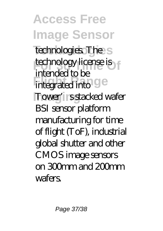**Access Free Image Sensor Technologies** technologies. The *<u>technology</u>* license is **Flight Range Report** Tower's stacked wafer intended to be BSI sensor platform manufacturing for time of flight (ToF), industrial global shutter and other CMOS image sensors on  $30<sub>mm</sub>$  and  $20<sub>mm</sub>$ wafers.